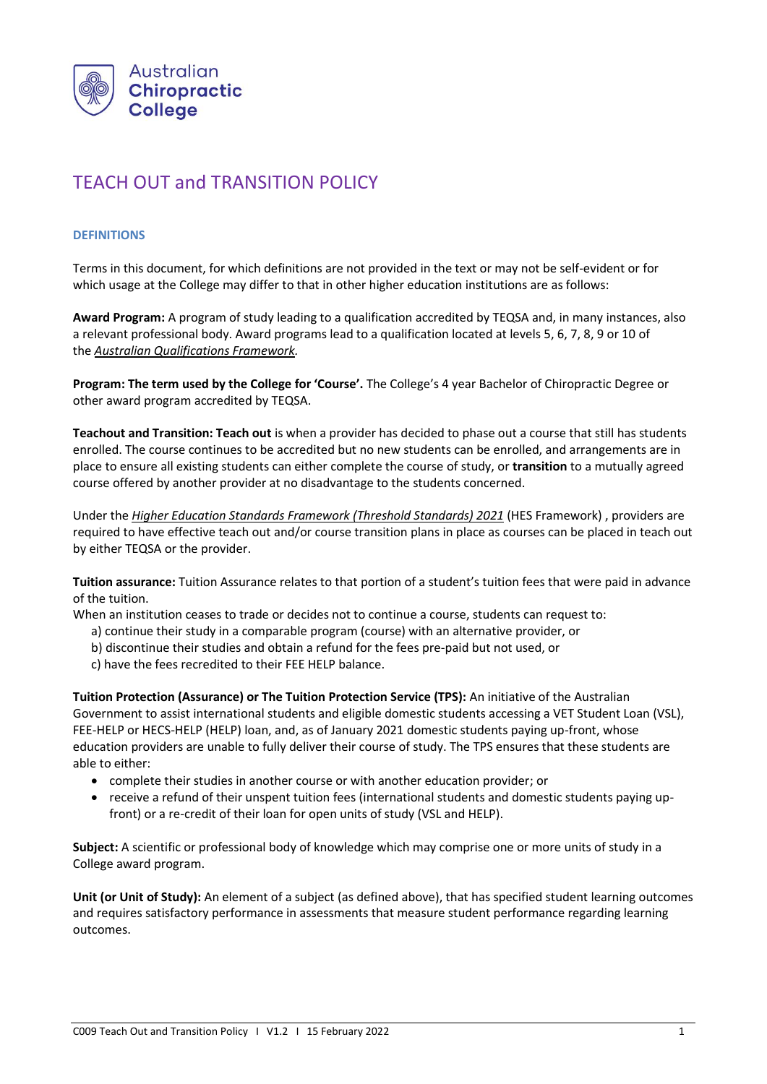

# TEACH OUT and TRANSITION POLICY

### **DEFINITIONS**

Terms in this document, for which definitions are not provided in the text or may not be self-evident or for which usage at the College may differ to that in other higher education institutions are as follows:

**Award Program:** A program of study leading to a qualification accredited by TEQSA and, in many instances, also a relevant professional body. Award programs lead to a qualification located at levels 5, 6, 7, 8, 9 or 10 of the *[Australian Qualifications Framework.](http://www.aqf.edu.au/)*

**Program: The term used by the College for 'Course'.** The College's 4 year Bachelor of Chiropractic Degree or other award program accredited by TEQSA.

**Teachout and Transition: Teach out** is when a provider has decided to phase out a course that still has students enrolled. The course continues to be accredited but no new students can be enrolled, and arrangements are in place to ensure all existing students can either complete the course of study, or **transition** to a mutually agreed course offered by another provider at no disadvantage to the students concerned.

Under the *Higher Education Standards Framework (Threshold Standards) 2021* (HES Framework) , providers are required to have effective teach out and/or course transition plans in place as courses can be placed in teach out by either TEQSA or the provider.

**Tuition assurance:** Tuition Assurance relates to that portion of a student's tuition fees that were paid in advance of the tuition.

When an institution ceases to trade or decides not to continue a course, students can request to:

- a) continue their study in a comparable program (course) with an alternative provider, or
- b) discontinue their studies and obtain a refund for the fees pre-paid but not used, or
- c) have the fees recredited to their FEE HELP balance.

**Tuition Protection (Assurance) or The Tuition Protection Service (TPS):** An initiative of the Australian Government to assist international students and eligible domestic students accessing a VET Student Loan (VSL), FEE-HELP or HECS-HELP (HELP) loan, and, as of January 2021 domestic students paying up-front, whose education providers are unable to fully deliver their course of study. The TPS ensures that these students are able to either:

- complete their studies in another course or with another education provider; or
- receive a refund of their unspent tuition fees (international students and domestic students paying upfront) or a re-credit of their loan for open units of study (VSL and HELP).

**Subject:** A scientific or professional body of knowledge which may comprise one or more units of study in a College award program.

**Unit (or Unit of Study):** An element of a subject (as defined above), that has specified student learning outcomes and requires satisfactory performance in assessments that measure student performance regarding learning outcomes.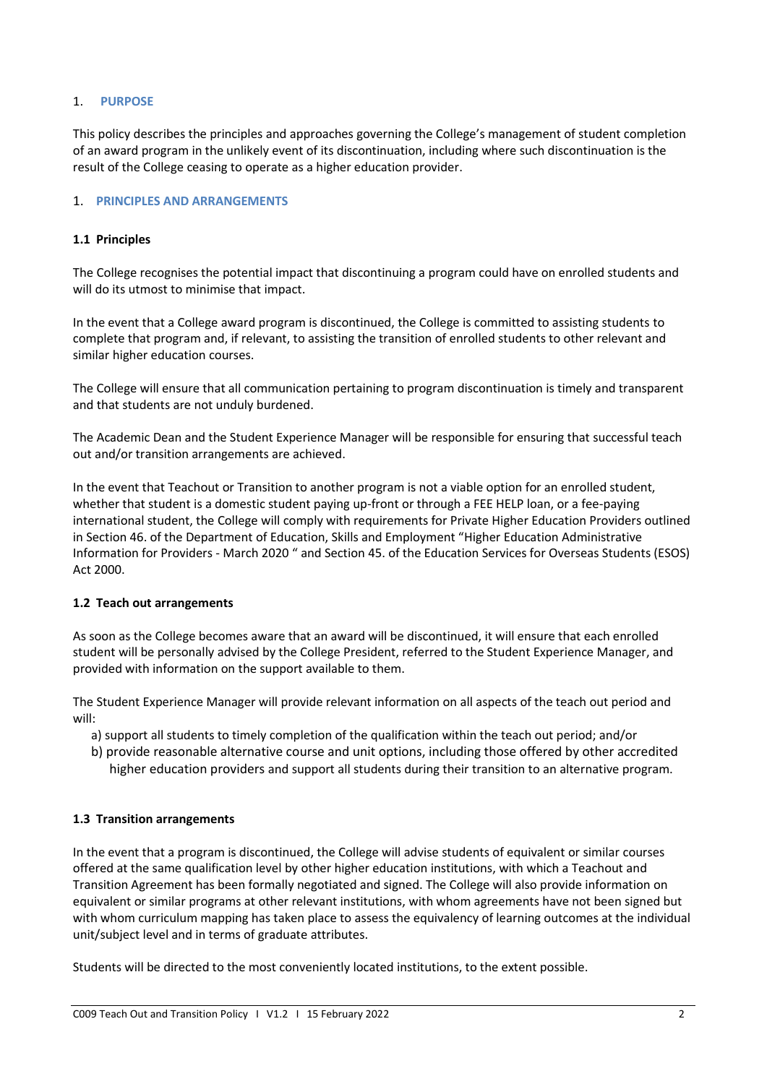### 1. **PURPOSE**

This policy describes the principles and approaches governing the College's management of student completion of an award program in the unlikely event of its discontinuation, including where such discontinuation is the result of the College ceasing to operate as a higher education provider.

#### 1. **PRINCIPLES AND ARRANGEMENTS**

#### **1.1 Principles**

The College recognises the potential impact that discontinuing a program could have on enrolled students and will do its utmost to minimise that impact.

In the event that a College award program is discontinued, the College is committed to assisting students to complete that program and, if relevant, to assisting the transition of enrolled students to other relevant and similar higher education courses.

The College will ensure that all communication pertaining to program discontinuation is timely and transparent and that students are not unduly burdened.

The Academic Dean and the Student Experience Manager will be responsible for ensuring that successful teach out and/or transition arrangements are achieved.

In the event that Teachout or Transition to another program is not a viable option for an enrolled student, whether that student is a domestic student paying up-front or through a FEE HELP loan, or a fee-paying international student, the College will comply with requirements for Private Higher Education Providers outlined in Section 46. of the Department of Education, Skills and Employment "Higher Education Administrative Information for Providers - March 2020 " and Section 45. of the Education Services for Overseas Students (ESOS) Act 2000.

#### **1.2 Teach out arrangements**

As soon as the College becomes aware that an award will be discontinued, it will ensure that each enrolled student will be personally advised by the College President, referred to the Student Experience Manager, and provided with information on the support available to them.

The Student Experience Manager will provide relevant information on all aspects of the teach out period and will:

- a) support all students to timely completion of the qualification within the teach out period; and/or
- b) provide reasonable alternative course and unit options, including those offered by other accredited higher education providers and support all students during their transition to an alternative program.

## **1.3 Transition arrangements**

In the event that a program is discontinued, the College will advise students of equivalent or similar courses offered at the same qualification level by other higher education institutions, with which a Teachout and Transition Agreement has been formally negotiated and signed. The College will also provide information on equivalent or similar programs at other relevant institutions, with whom agreements have not been signed but with whom curriculum mapping has taken place to assess the equivalency of learning outcomes at the individual unit/subject level and in terms of graduate attributes.

Students will be directed to the most conveniently located institutions, to the extent possible.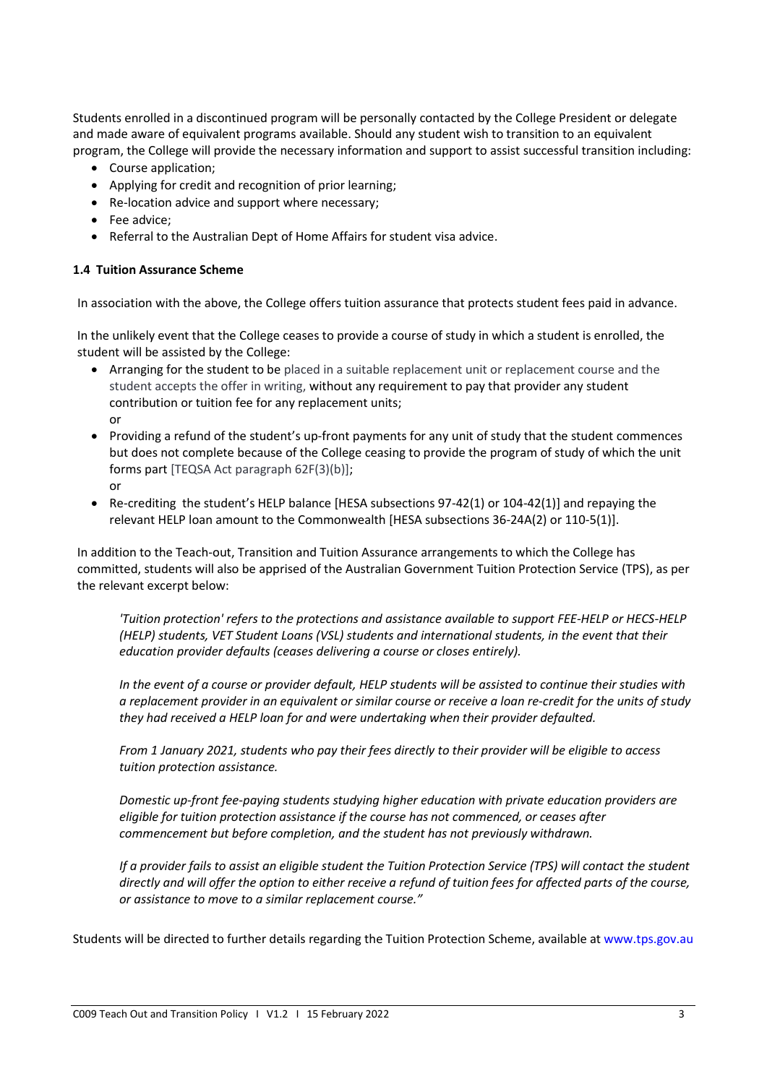Students enrolled in a discontinued program will be personally contacted by the College President or delegate and made aware of equivalent programs available. Should any student wish to transition to an equivalent program, the College will provide the necessary information and support to assist successful transition including:

- Course application;
- Applying for credit and recognition of prior learning;
- Re-location advice and support where necessary;
- Fee advice;
- Referral to the Australian Dept of Home Affairs for student visa advice.

#### **1.4 Tuition Assurance Scheme**

In association with the above, the College offers tuition assurance that protects student fees paid in advance.

In the unlikely event that the College ceases to provide a course of study in which a student is enrolled, the student will be assisted by the College:

- Arranging for the student to be placed in a suitable replacement unit or replacement course and the student accepts the offer in writing, without any requirement to pay that provider any student contribution or tuition fee for any replacement units; or
- Providing a refund of the student's up-front payments for any unit of study that the student commences but does not complete because of the College ceasing to provide the program of study of which the unit forms part [TEQSA Act paragraph 62F(3)(b)]; or
- Re-crediting the student's HELP balance [HESA subsections 97-42(1) or 104-42(1)] and repaying the relevant HELP loan amount to the Commonwealth [HESA subsections 36-24A(2) or 110-5(1)].

In addition to the Teach-out, Transition and Tuition Assurance arrangements to which the College has committed, students will also be apprised of the Australian Government Tuition Protection Service (TPS), as per the relevant excerpt below:

*'Tuition protection' refers to the protections and assistance available to support FEE-HELP or HECS-HELP (HELP) students, VET Student Loans (VSL) students and international students, in the event that their education provider defaults (ceases delivering a course or closes entirely).*

*In the event of a course or provider default, HELP students will be assisted to continue their studies with a replacement provider in an equivalent or similar course or receive a loan re-credit for the units of study they had received a HELP loan for and were undertaking when their provider defaulted.*

From 1 January 2021, students who pay their fees directly to their provider will be eligible to access *tuition protection assistance.*

*Domestic up-front fee-paying students studying higher education with private education providers are eligible for tuition protection assistance if the course has not commenced, or ceases after commencement but before completion, and the student has not previously withdrawn.*

*If a provider fails to assist an eligible student the Tuition Protection Service (TPS) will contact the student directly and will offer the option to either receive a refund of tuition fees for affected parts of the course, or assistance to move to a similar replacement course."*

Students will be directed to further details regarding the Tuition Protection Scheme, available at [www.tps.gov.au](http://www.tps.gov.au/)